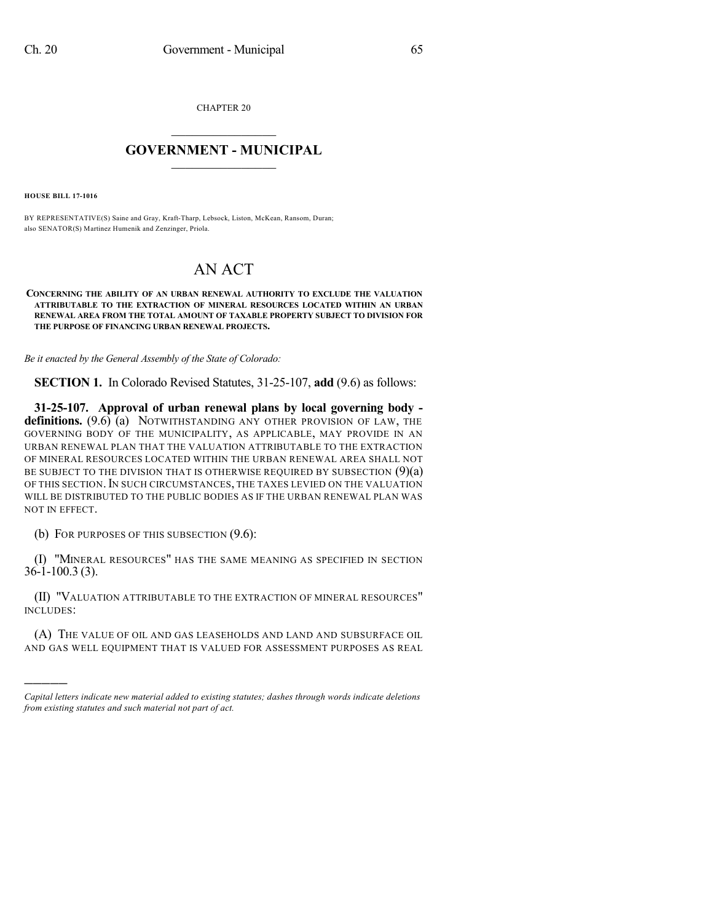CHAPTER 20

## $\mathcal{L}_\text{max}$  . The set of the set of the set of the set of the set of the set of the set of the set of the set of the set of the set of the set of the set of the set of the set of the set of the set of the set of the set **GOVERNMENT - MUNICIPAL**  $\_$

**HOUSE BILL 17-1016**

)))))

BY REPRESENTATIVE(S) Saine and Gray, Kraft-Tharp, Lebsock, Liston, McKean, Ransom, Duran; also SENATOR(S) Martinez Humenik and Zenzinger, Priola.

## AN ACT

**CONCERNING THE ABILITY OF AN URBAN RENEWAL AUTHORITY TO EXCLUDE THE VALUATION ATTRIBUTABLE TO THE EXTRACTION OF MINERAL RESOURCES LOCATED WITHIN AN URBAN RENEWAL AREA FROM THE TOTAL AMOUNT OF TAXABLE PROPERTY SUBJECT TO DIVISION FOR THE PURPOSE OF FINANCING URBAN RENEWAL PROJECTS.**

*Be it enacted by the General Assembly of the State of Colorado:*

**SECTION 1.** In Colorado Revised Statutes, 31-25-107, **add** (9.6) as follows:

**31-25-107. Approval of urban renewal plans by local governing body definitions.** (9.6) (a) NOTWITHSTANDING ANY OTHER PROVISION OF LAW, THE GOVERNING BODY OF THE MUNICIPALITY, AS APPLICABLE, MAY PROVIDE IN AN URBAN RENEWAL PLAN THAT THE VALUATION ATTRIBUTABLE TO THE EXTRACTION OF MINERAL RESOURCES LOCATED WITHIN THE URBAN RENEWAL AREA SHALL NOT BE SUBJECT TO THE DIVISION THAT IS OTHERWISE REQUIRED BY SUBSECTION  $(9)(a)$ OF THIS SECTION.IN SUCH CIRCUMSTANCES, THE TAXES LEVIED ON THE VALUATION WILL BE DISTRIBUTED TO THE PUBLIC BODIES AS IF THE URBAN RENEWAL PLAN WAS NOT IN EFFECT.

(b) FOR PURPOSES OF THIS SUBSECTION (9.6):

(I) "MINERAL RESOURCES" HAS THE SAME MEANING AS SPECIFIED IN SECTION 36-1-100.3 (3).

(II) "VALUATION ATTRIBUTABLE TO THE EXTRACTION OF MINERAL RESOURCES" INCLUDES:

(A) THE VALUE OF OIL AND GAS LEASEHOLDS AND LAND AND SUBSURFACE OIL AND GAS WELL EQUIPMENT THAT IS VALUED FOR ASSESSMENT PURPOSES AS REAL

*Capital letters indicate new material added to existing statutes; dashes through words indicate deletions from existing statutes and such material not part of act.*